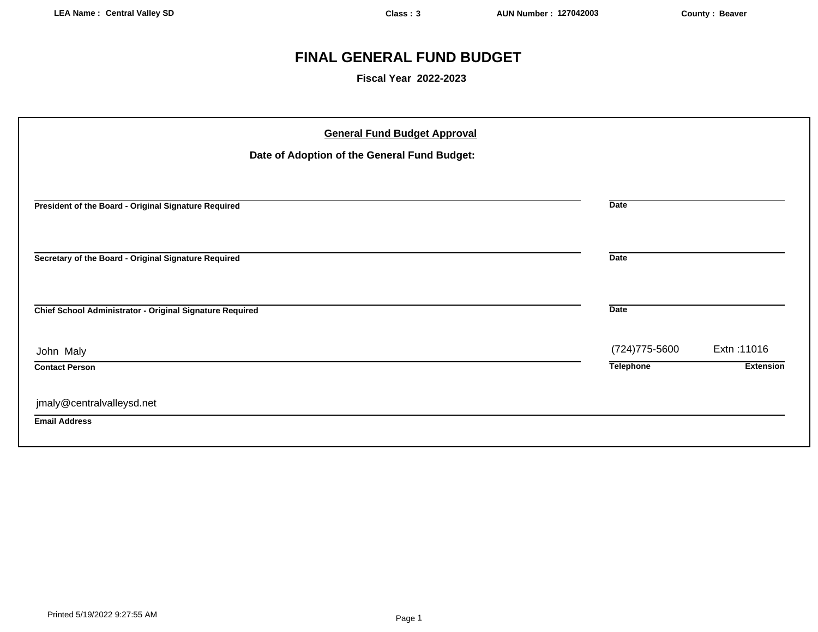# **FINAL GENERAL FUND BUDGET**

**Fiscal Year 2022-2023**

| <b>General Fund Budget Approval</b>                      |                  |                  |
|----------------------------------------------------------|------------------|------------------|
| Date of Adoption of the General Fund Budget:             |                  |                  |
|                                                          |                  |                  |
| President of the Board - Original Signature Required     | <b>Date</b>      |                  |
| Secretary of the Board - Original Signature Required     | <b>Date</b>      |                  |
| Chief School Administrator - Original Signature Required | <b>Date</b>      |                  |
| John Maly                                                | (724) 775-5600   | Extn: 11016      |
| <b>Contact Person</b>                                    | <b>Telephone</b> | <b>Extension</b> |
| jmaly@centralvalleysd.net                                |                  |                  |
| <b>Email Address</b>                                     |                  |                  |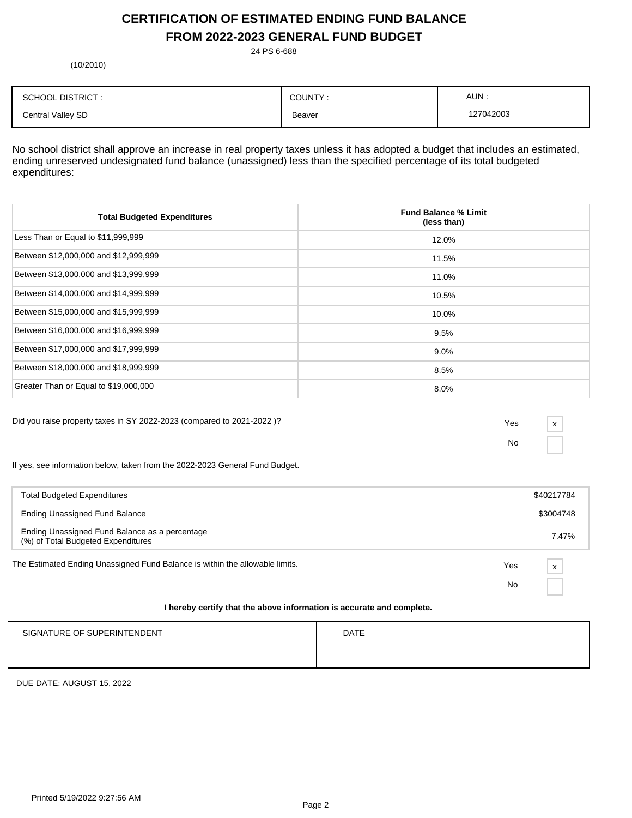# **CERTIFICATION OF ESTIMATED ENDING FUND BALANCE FROM 2022-2023 GENERAL FUND BUDGET**

24 PS 6-688

(10/2010)

| <b>SCHOOL DISTRICT:</b> | COUNTY: | AUN:      |
|-------------------------|---------|-----------|
| Central Valley SD       | Beaver  | 127042003 |

No school district shall approve an increase in real property taxes unless it has adopted a budget that includes an estimated, ending unreserved undesignated fund balance (unassigned) less than the specified percentage of its total budgeted expenditures:

| <b>Total Budgeted Expenditures</b>    | <b>Fund Balance % Limit</b><br>(less than) |
|---------------------------------------|--------------------------------------------|
| Less Than or Equal to \$11,999,999    | 12.0%                                      |
| Between \$12,000,000 and \$12,999,999 | 11.5%                                      |
| Between \$13,000,000 and \$13,999,999 | 11.0%                                      |
| Between \$14,000,000 and \$14,999,999 | 10.5%                                      |
| Between \$15,000,000 and \$15,999,999 | 10.0%                                      |
| Between \$16,000,000 and \$16,999,999 | 9.5%                                       |
| Between \$17,000,000 and \$17,999,999 | $9.0\%$                                    |
| Between \$18,000,000 and \$18,999,999 | 8.5%                                       |
| Greater Than or Equal to \$19,000,000 | 8.0%                                       |

Did you raise property taxes in SY 2022-2023 (compared to 2021-2022 )? Yes

No

x

If yes, see information below, taken from the 2022-2023 General Fund Budget.

| <b>Total Budgeted Expenditures</b>                                                   |     | \$40217784 |
|--------------------------------------------------------------------------------------|-----|------------|
| Ending Unassigned Fund Balance                                                       |     | \$3004748  |
| Ending Unassigned Fund Balance as a percentage<br>(%) of Total Budgeted Expenditures |     | 7.47%      |
| The Estimated Ending Unassigned Fund Balance is within the allowable limits.         | Yes | X          |
|                                                                                      | No  |            |
| I hereby certify that the above information is accurate and complete.                |     |            |

# SIGNATURE OF SUPERINTENDENT **EXAMPLE 20** ON THE SIGNATURE OF SUPERINTENDENT

DUE DATE: AUGUST 15, 2022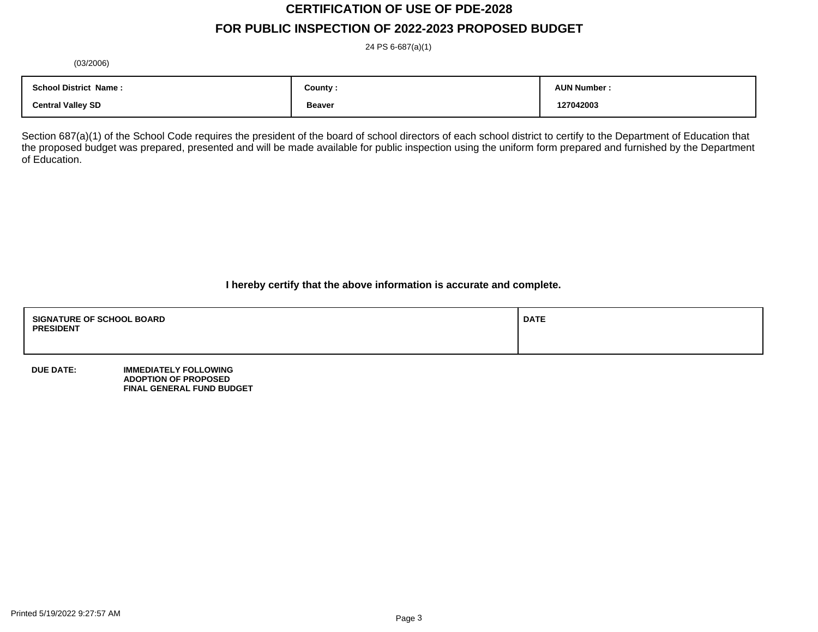# **CERTIFICATION OF USE OF PDE-2028**

# **FOR PUBLIC INSPECTION OF 2022-2023 PROPOSED BUDGET**

24 PS 6-687(a)(1)

(03/2006)

| <b>School District Name:</b> | County :           | <b>AUN Number</b> |
|------------------------------|--------------------|-------------------|
| <b>Central Valley SD</b>     | <b>Beaver</b><br>. | 127042003         |

Section 687(a)(1) of the School Code requires the president of the board of school directors of each school district to certify to the Department of Education that the proposed budget was prepared, presented and will be made available for public inspection using the uniform form prepared and furnished by the Department of Education.

**I hereby certify that the above information is accurate and complete.**

| <b>SIGNATURE OF SCHOOL BOARD</b><br><b>PRESIDENT</b> | <b>DATE</b> |
|------------------------------------------------------|-------------|
|                                                      |             |

**DUE DATE: IMMEDIATELY FOLLOWING ADOPTION OF PROPOSED FINAL GENERAL FUND BUDGET**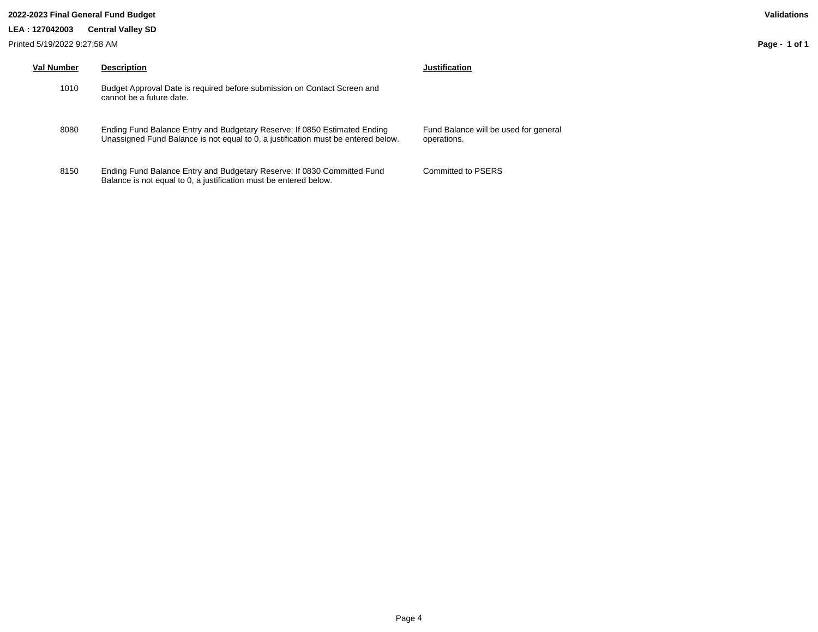#### **2022-2023 Final General Fund Budget Validations**

**LEA : 127042003 Central Valley SD**

| Val Number | <b>Description</b>                                                                                                                                             | Justification                      |
|------------|----------------------------------------------------------------------------------------------------------------------------------------------------------------|------------------------------------|
| 1010       | Budget Approval Date is required before submission on Contact Screen and<br>cannot be a future date.                                                           |                                    |
| 8080       | Ending Fund Balance Entry and Budgetary Reserve: If 0850 Estimated Ending<br>Unassigned Fund Balance is not equal to 0, a justification must be entered below. | <b>Fund Balance</b><br>operations. |
| 8150       | Ending Fund Balance Entry and Budgetary Reserve: If 0830 Committed Fund                                                                                        | Committed to                       |

Balance is not equal to 0, a justification must be entered below.

Balance will be used for general tions.

Committed to PSERS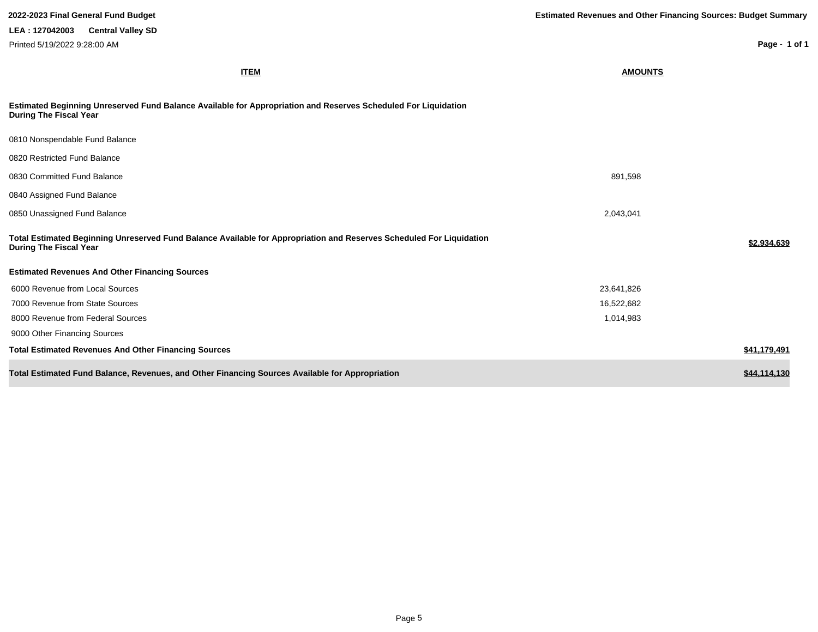| 2022-2023 Final General Fund Budget                                                                                                                   | <b>Estimated Revenues and Other Financing Sources: Budget Summary</b> |
|-------------------------------------------------------------------------------------------------------------------------------------------------------|-----------------------------------------------------------------------|
| LEA: 127042003 Central Valley SD                                                                                                                      |                                                                       |
| Printed 5/19/2022 9:28:00 AM                                                                                                                          | Page - 1 of 1                                                         |
| <b>ITEM</b>                                                                                                                                           | <b>AMOUNTS</b>                                                        |
| Estimated Beginning Unreserved Fund Balance Available for Appropriation and Reserves Scheduled For Liquidation<br><b>During The Fiscal Year</b>       |                                                                       |
| 0810 Nonspendable Fund Balance                                                                                                                        |                                                                       |
| 0820 Restricted Fund Balance                                                                                                                          |                                                                       |
| 0830 Committed Fund Balance                                                                                                                           | 891,598                                                               |
| 0840 Assigned Fund Balance                                                                                                                            |                                                                       |
| 0850 Unassigned Fund Balance                                                                                                                          | 2,043,041                                                             |
| Total Estimated Beginning Unreserved Fund Balance Available for Appropriation and Reserves Scheduled For Liquidation<br><b>During The Fiscal Year</b> | \$2,934,639                                                           |
| <b>Estimated Revenues And Other Financing Sources</b>                                                                                                 |                                                                       |
| 6000 Revenue from Local Sources                                                                                                                       | 23,641,826                                                            |
| 7000 Revenue from State Sources                                                                                                                       | 16,522,682                                                            |
| 8000 Revenue from Federal Sources                                                                                                                     | 1,014,983                                                             |
| 9000 Other Financing Sources                                                                                                                          |                                                                       |
| <b>Total Estimated Revenues And Other Financing Sources</b>                                                                                           | \$41,179,491                                                          |
| Total Estimated Fund Balance, Revenues, and Other Financing Sources Available for Appropriation                                                       | \$44,114,130                                                          |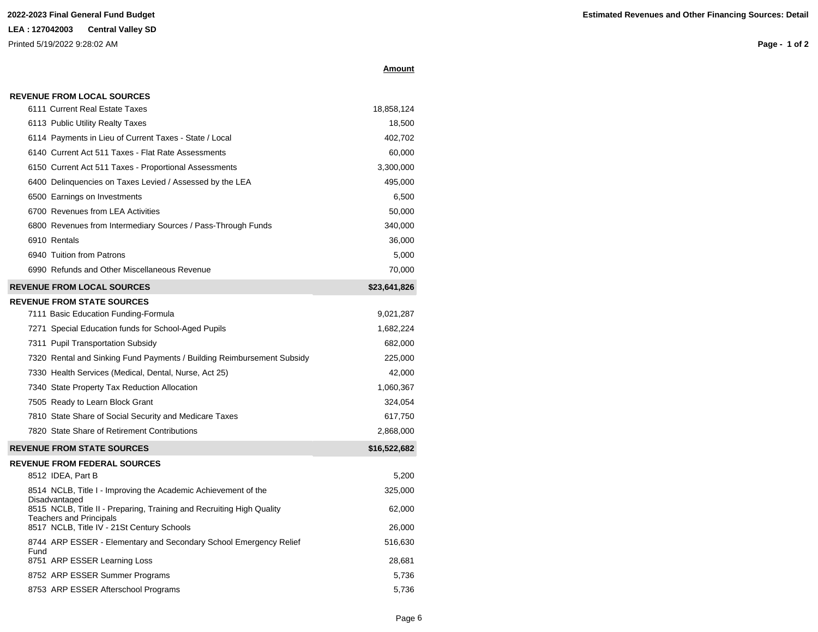| vmou<br>ın |
|------------|
|------------|

|      | 6111 Current Real Estate Taxes                                                                          | 18,858,124   |
|------|---------------------------------------------------------------------------------------------------------|--------------|
|      | 6113 Public Utility Realty Taxes                                                                        | 18,500       |
|      | 6114 Payments in Lieu of Current Taxes - State / Local                                                  | 402,702      |
|      | 6140 Current Act 511 Taxes - Flat Rate Assessments                                                      | 60,000       |
|      | 6150 Current Act 511 Taxes - Proportional Assessments                                                   | 3,300,000    |
|      | 6400 Delinquencies on Taxes Levied / Assessed by the LEA                                                | 495,000      |
|      | 6500 Earnings on Investments                                                                            | 6,500        |
|      | 6700 Revenues from LEA Activities                                                                       | 50,000       |
|      | 6800 Revenues from Intermediary Sources / Pass-Through Funds                                            | 340,000      |
|      | 6910 Rentals                                                                                            | 36,000       |
|      | 6940 Tuition from Patrons                                                                               | 5,000        |
|      | 6990 Refunds and Other Miscellaneous Revenue                                                            | 70,000       |
|      | <b>REVENUE FROM LOCAL SOURCES</b>                                                                       | \$23,641,826 |
|      | <b>REVENUE FROM STATE SOURCES</b>                                                                       |              |
|      | 7111 Basic Education Funding-Formula                                                                    | 9,021,287    |
|      | 7271 Special Education funds for School-Aged Pupils                                                     | 1,682,224    |
|      | 7311 Pupil Transportation Subsidy                                                                       | 682,000      |
|      | 7320 Rental and Sinking Fund Payments / Building Reimbursement Subsidy                                  | 225,000      |
|      | 7330 Health Services (Medical, Dental, Nurse, Act 25)                                                   | 42,000       |
|      | 7340 State Property Tax Reduction Allocation                                                            | 1,060,367    |
|      | 7505 Ready to Learn Block Grant                                                                         | 324,054      |
|      | 7810 State Share of Social Security and Medicare Taxes                                                  | 617,750      |
|      | 7820 State Share of Retirement Contributions                                                            | 2,868,000    |
|      | <b>REVENUE FROM STATE SOURCES</b>                                                                       | \$16,522,682 |
|      | <b>REVENUE FROM FEDERAL SOURCES</b>                                                                     |              |
|      | 8512 IDEA, Part B                                                                                       | 5,200        |
|      | 8514 NCLB, Title I - Improving the Academic Achievement of the<br>Disadvantaged                         | 325,000      |
|      | 8515 NCLB, Title II - Preparing, Training and Recruiting High Quality<br><b>Teachers and Principals</b> | 62,000       |
|      | 8517 NCLB, Title IV - 21St Century Schools                                                              | 26,000       |
| Fund | 8744 ARP ESSER - Elementary and Secondary School Emergency Relief                                       | 516,630      |
|      | 8751 ARP ESSER Learning Loss                                                                            | 28,681       |
|      | 8752 ARP ESSER Summer Programs                                                                          | 5,736        |
|      | 8753 ARP ESSER Afterschool Programs                                                                     | 5,736        |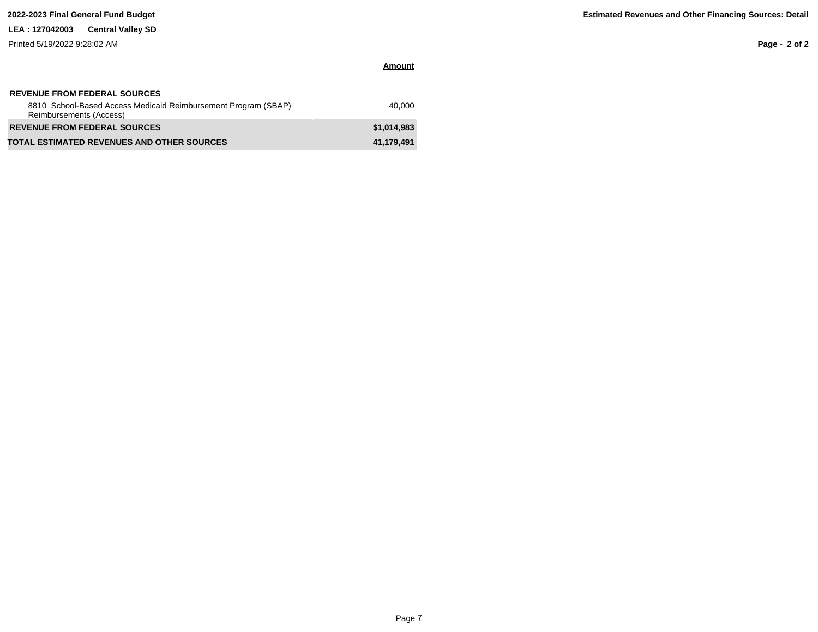# **LEA : 127042003 Central Valley SD**

Printed 5/19/2022 9:28:02 AM

**Page - 2 of 2**

| <b>REVENUE FROM FEDERAL SOURCES</b><br>8810 School-Based Access Medicaid Reimbursement Program (SBAP)<br>Reimbursements (Access) | 40.000      |
|----------------------------------------------------------------------------------------------------------------------------------|-------------|
| <b>REVENUE FROM FEDERAL SOURCES</b>                                                                                              | \$1,014,983 |
| <b>TOTAL ESTIMATED REVENUES AND OTHER SOURCES</b>                                                                                | 41,179,491  |

**Amount**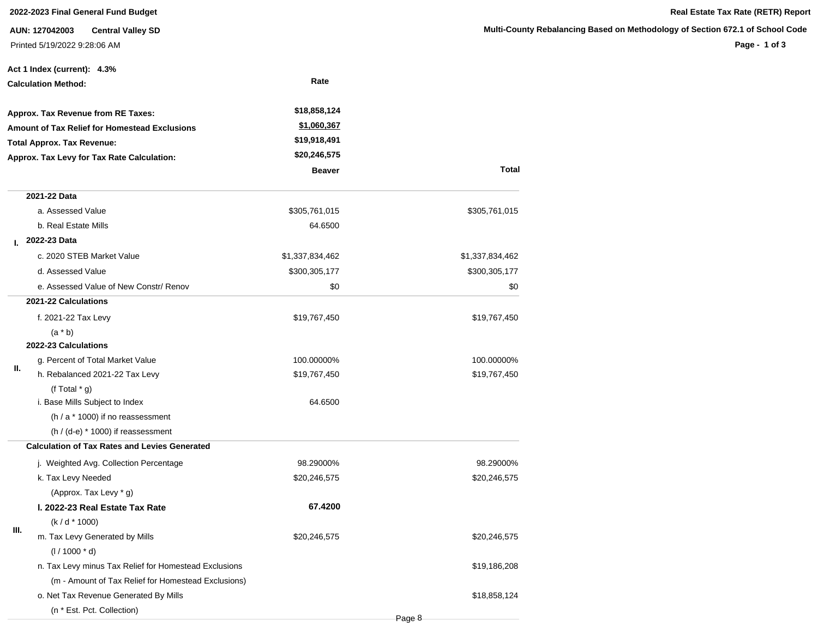## **2022-2023 Final General Fund Budget Real Estate Tax Rate (RETR) Report**

**AUN: 127042003 Central Valley SD** Printed 5/19/2022 9:28:06 AM

**Multi-County Rebalancing Based on Methodology of Section 672.1 of School Code**

|    | Act 1 Index (current): 4.3%                           |                 |                 |
|----|-------------------------------------------------------|-----------------|-----------------|
|    | <b>Calculation Method:</b>                            | Rate            |                 |
|    | Approx. Tax Revenue from RE Taxes:                    | \$18,858,124    |                 |
|    | <b>Amount of Tax Relief for Homestead Exclusions</b>  | \$1,060,367     |                 |
|    | <b>Total Approx. Tax Revenue:</b>                     | \$19,918,491    |                 |
|    | Approx. Tax Levy for Tax Rate Calculation:            | \$20,246,575    |                 |
|    |                                                       | <b>Beaver</b>   | Total           |
|    | 2021-22 Data                                          |                 |                 |
|    | a. Assessed Value                                     | \$305,761,015   | \$305,761,015   |
|    | b. Real Estate Mills                                  | 64.6500         |                 |
| L. | 2022-23 Data                                          |                 |                 |
|    | c. 2020 STEB Market Value                             | \$1,337,834,462 | \$1,337,834,462 |
|    | d. Assessed Value                                     | \$300,305,177   | \$300,305,177   |
|    | e. Assessed Value of New Constr/ Renov                | \$0             | \$0             |
|    | 2021-22 Calculations                                  |                 |                 |
|    | f. 2021-22 Tax Levy                                   | \$19,767,450    | \$19,767,450    |
|    | $(a * b)$                                             |                 |                 |
|    | <b>2022-23 Calculations</b>                           |                 |                 |
|    | g. Percent of Total Market Value                      | 100.00000%      | 100.00000%      |
| Ш. | h. Rebalanced 2021-22 Tax Levy                        | \$19,767,450    | \$19,767,450    |
|    | (f Total $*$ g)                                       |                 |                 |
|    | i. Base Mills Subject to Index                        | 64.6500         |                 |
|    | $(h / a * 1000)$ if no reassessment                   |                 |                 |
|    | $(h / (d-e) * 1000)$ if reassessment                  |                 |                 |
|    | <b>Calculation of Tax Rates and Levies Generated</b>  |                 |                 |
|    | j. Weighted Avg. Collection Percentage                | 98.29000%       | 98.29000%       |
|    | k. Tax Levy Needed                                    | \$20,246,575    | \$20,246,575    |
|    | (Approx. Tax Levy * g)                                |                 |                 |
|    | I. 2022-23 Real Estate Tax Rate                       | 67.4200         |                 |
|    | $(k/d * 1000)$                                        |                 |                 |
| Ш. | m. Tax Levy Generated by Mills                        | \$20,246,575    | \$20,246,575    |
|    | $(1/1000 * d)$                                        |                 |                 |
|    | n. Tax Levy minus Tax Relief for Homestead Exclusions |                 | \$19,186,208    |
|    | (m - Amount of Tax Relief for Homestead Exclusions)   |                 |                 |
|    | o. Net Tax Revenue Generated By Mills                 |                 | \$18,858,124    |
|    | (n * Est. Pct. Collection)                            |                 |                 |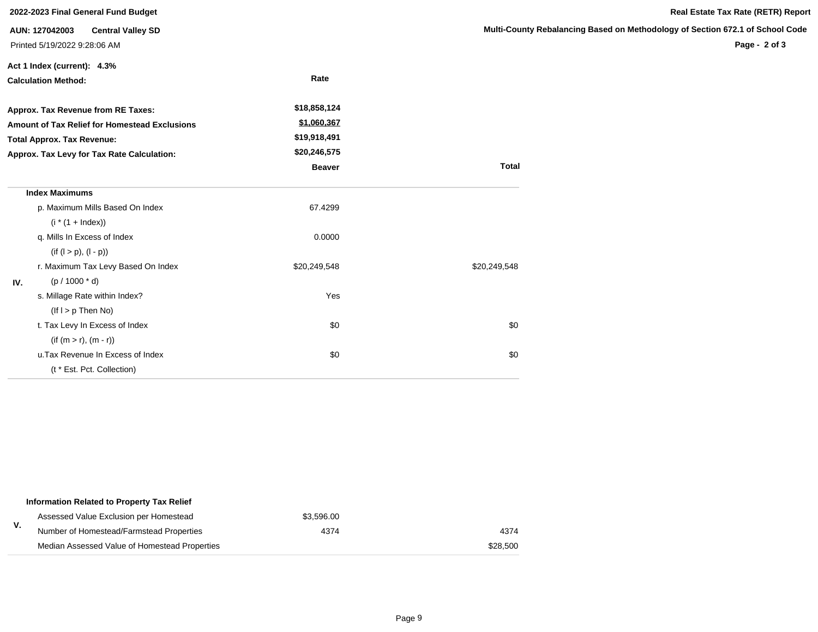| 2022-2023 Final General Fund Budget                                                                                                                                    |                                                                            |                                                                              |                         |  |  |
|------------------------------------------------------------------------------------------------------------------------------------------------------------------------|----------------------------------------------------------------------------|------------------------------------------------------------------------------|-------------------------|--|--|
|                                                                                                                                                                        | AUN: 127042003<br><b>Central Valley SD</b><br>Printed 5/19/2022 9:28:06 AM |                                                                              | <b>Multi-County Rel</b> |  |  |
|                                                                                                                                                                        | Act 1 Index (current): 4.3%<br><b>Calculation Method:</b>                  | Rate                                                                         |                         |  |  |
| Approx. Tax Revenue from RE Taxes:<br>Amount of Tax Relief for Homestead Exclusions<br><b>Total Approx. Tax Revenue:</b><br>Approx. Tax Levy for Tax Rate Calculation: |                                                                            | \$18,858,124<br>\$1,060,367<br>\$19,918,491<br>\$20,246,575<br><b>Beaver</b> | <b>Total</b>            |  |  |
|                                                                                                                                                                        | <b>Index Maximums</b>                                                      |                                                                              |                         |  |  |
|                                                                                                                                                                        | p. Maximum Mills Based On Index                                            | 67.4299                                                                      |                         |  |  |
|                                                                                                                                                                        | $(i * (1 + Index))$                                                        |                                                                              |                         |  |  |
|                                                                                                                                                                        | q. Mills In Excess of Index                                                | 0.0000                                                                       |                         |  |  |
|                                                                                                                                                                        | $(if (l > p), (l - p))$                                                    |                                                                              |                         |  |  |
|                                                                                                                                                                        | r. Maximum Tax Levy Based On Index                                         | \$20,249,548                                                                 | \$20,249,548            |  |  |
| IV.                                                                                                                                                                    | $(p / 1000 * d)$                                                           |                                                                              |                         |  |  |
|                                                                                                                                                                        | s. Millage Rate within Index?                                              | Yes                                                                          |                         |  |  |
|                                                                                                                                                                        | $($ lf $I > p$ Then No $)$                                                 |                                                                              |                         |  |  |
|                                                                                                                                                                        | t. Tax Levy In Excess of Index                                             | \$0                                                                          | \$0                     |  |  |
|                                                                                                                                                                        | $(if (m > r), (m - r))$                                                    |                                                                              |                         |  |  |
|                                                                                                                                                                        | u. Tax Revenue In Excess of Index                                          | \$0                                                                          | \$0                     |  |  |
|                                                                                                                                                                        | (t * Est. Pct. Collection)                                                 |                                                                              |                         |  |  |

| Information Related to Property Tax Relief    |            |          |
|-----------------------------------------------|------------|----------|
| Assessed Value Exclusion per Homestead        | \$3,596.00 |          |
| Number of Homestead/Farmstead Properties      | 4374       | 4374     |
| Median Assessed Value of Homestead Properties |            | \$28,500 |

**Page - 2 of 3**

**Real Estate Tax Rate (RETR) Report**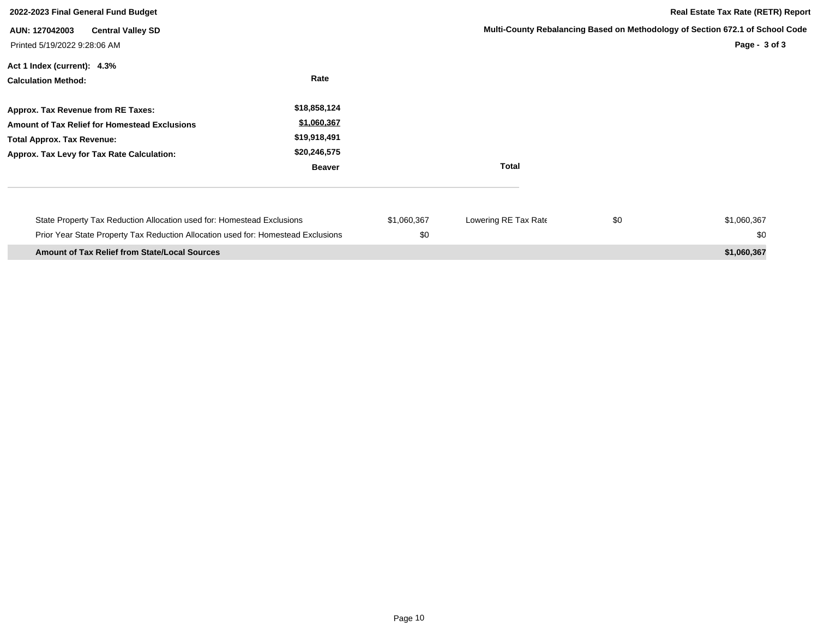| 2022-2023 Final General Fund Budget                                                                                                                                    |                                                                              | <b>Real Estate Tax Rate (RETR) Report</b> |                      |     |                                                                                                |
|------------------------------------------------------------------------------------------------------------------------------------------------------------------------|------------------------------------------------------------------------------|-------------------------------------------|----------------------|-----|------------------------------------------------------------------------------------------------|
| <b>Central Valley SD</b><br>AUN: 127042003<br>Printed 5/19/2022 9:28:06 AM                                                                                             |                                                                              |                                           |                      |     | Multi-County Rebalancing Based on Methodology of Section 672.1 of School Code<br>Page - 3 of 3 |
| Act 1 Index (current): 4.3%<br><b>Calculation Method:</b>                                                                                                              | Rate                                                                         |                                           |                      |     |                                                                                                |
| Approx. Tax Revenue from RE Taxes:<br>Amount of Tax Relief for Homestead Exclusions<br><b>Total Approx. Tax Revenue:</b><br>Approx. Tax Levy for Tax Rate Calculation: | \$18,858,124<br>\$1,060,367<br>\$19,918,491<br>\$20,246,575<br><b>Beaver</b> |                                           | <b>Total</b>         |     |                                                                                                |
| State Property Tax Reduction Allocation used for: Homestead Exclusions<br>Prior Year State Property Tax Reduction Allocation used for: Homestead Exclusions            |                                                                              | \$1,060,367<br>\$0                        | Lowering RE Tax Rate | \$0 | \$1,060,367<br>\$0                                                                             |
| <b>Amount of Tax Relief from State/Local Sources</b>                                                                                                                   |                                                                              |                                           |                      |     | \$1,060,367                                                                                    |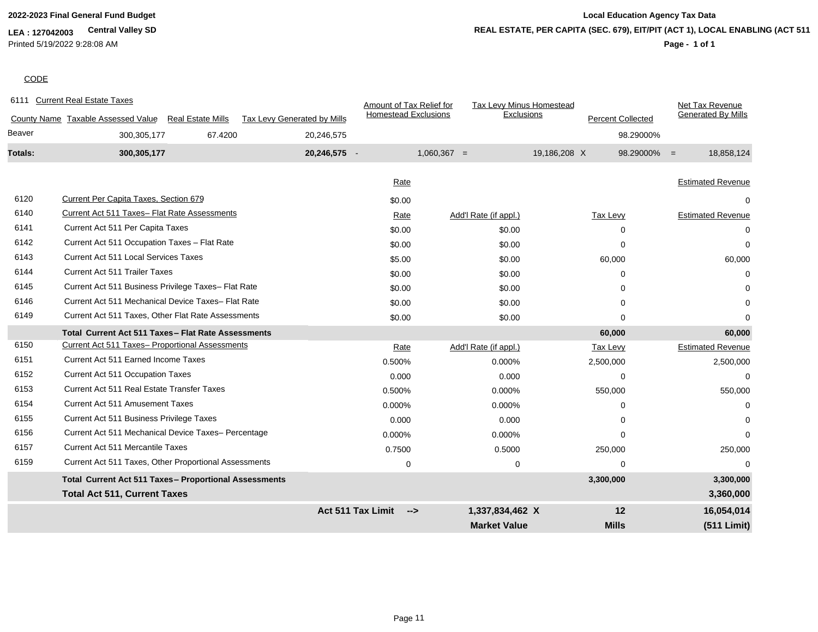**LEA : 127042003 Central Valley SD** Printed 5/19/2022 9:28:08 AM

## **2022-2023 Final General Fund Budget Local Education Agency Tax Data Page - 1 of 1 REAL ESTATE, PER CAPITA (SEC. 679), EIT/PIT (ACT 1), LOCAL ENABLING (ACT 511)**

## **CODE**

6111 Current Real Estate Taxes Amount of Tax Relief for Taxes Amount of Tax Relief for Taxes

|         | 6111 Current Real Estate Taxes                                 |                             | Amount of Tax Relief for<br><b>Homestead Exclusions</b> |               | <b>Tax Levy Minus Homestead</b> |                          | Net Tax Revenue<br><b>Generated By Mills</b> |
|---------|----------------------------------------------------------------|-----------------------------|---------------------------------------------------------|---------------|---------------------------------|--------------------------|----------------------------------------------|
|         | County Name Taxable Assessed Value<br><b>Real Estate Mills</b> | Tax Levy Generated by Mills |                                                         |               | Exclusions                      | <b>Percent Collected</b> |                                              |
| Beaver  | 67.4200<br>300, 305, 177                                       | 20,246,575                  |                                                         |               |                                 |                          | 98.29000%                                    |
| Totals: | 300,305,177                                                    | 20,246,575                  |                                                         | $1,060,367 =$ |                                 | 19,186,208 X             | 18,858,124<br>$98.29000\% =$                 |
|         |                                                                |                             | Rate                                                    |               |                                 |                          | <b>Estimated Revenue</b>                     |
| 6120    | Current Per Capita Taxes, Section 679                          |                             | \$0.00                                                  |               |                                 |                          |                                              |
| 6140    | Current Act 511 Taxes- Flat Rate Assessments                   |                             | Rate                                                    |               | Add'l Rate (if appl.)           | <b>Tax Levy</b>          | <b>Estimated Revenue</b>                     |
| 6141    | Current Act 511 Per Capita Taxes                               |                             | \$0.00                                                  |               | \$0.00                          | $\Omega$                 | $\Omega$                                     |
| 6142    | Current Act 511 Occupation Taxes - Flat Rate                   |                             | \$0.00                                                  |               | \$0.00                          | $\Omega$                 | $\Omega$                                     |
| 6143    | <b>Current Act 511 Local Services Taxes</b>                    |                             | \$5.00                                                  |               | \$0.00                          | 60,000                   | 60,000                                       |
| 6144    | <b>Current Act 511 Trailer Taxes</b>                           |                             | \$0.00                                                  |               | \$0.00                          | $\Omega$                 | $\Omega$                                     |
| 6145    | Current Act 511 Business Privilege Taxes- Flat Rate            |                             | \$0.00                                                  |               | \$0.00                          | $\Omega$                 | ∩                                            |
| 6146    | Current Act 511 Mechanical Device Taxes- Flat Rate             |                             | \$0.00                                                  |               | \$0.00                          | $\Omega$                 | $\Omega$                                     |
| 6149    | Current Act 511 Taxes, Other Flat Rate Assessments             |                             | \$0.00                                                  |               | \$0.00                          | $\Omega$                 | ∩                                            |
|         | Total Current Act 511 Taxes-Flat Rate Assessments              |                             |                                                         |               |                                 | 60,000                   | 60,000                                       |
| 6150    | <b>Current Act 511 Taxes- Proportional Assessments</b>         |                             | Rate                                                    |               | Add'l Rate (if appl.)           | Tax Levy                 | <b>Estimated Revenue</b>                     |
| 6151    | Current Act 511 Earned Income Taxes                            |                             | 0.500%                                                  |               | 0.000%                          | 2,500,000                | 2,500,000                                    |
| 6152    | <b>Current Act 511 Occupation Taxes</b>                        |                             | 0.000                                                   |               | 0.000                           | $\Omega$                 | $\Omega$                                     |
| 6153    | <b>Current Act 511 Real Estate Transfer Taxes</b>              |                             | 0.500%                                                  |               | 0.000%                          | 550,000                  | 550,000                                      |
| 6154    | <b>Current Act 511 Amusement Taxes</b>                         |                             | 0.000%                                                  |               | 0.000%                          | $\Omega$                 | $\Omega$                                     |
| 6155    | Current Act 511 Business Privilege Taxes                       |                             | 0.000                                                   |               | 0.000                           | $\Omega$                 |                                              |
| 6156    | Current Act 511 Mechanical Device Taxes- Percentage            |                             | 0.000%                                                  |               | 0.000%                          | $\Omega$                 | $\Omega$                                     |
| 6157    | <b>Current Act 511 Mercantile Taxes</b>                        |                             | 0.7500                                                  |               | 0.5000                          | 250,000                  | 250,000                                      |
| 6159    | Current Act 511 Taxes, Other Proportional Assessments          |                             | 0                                                       |               | 0                               | $\Omega$                 |                                              |
|         | Total Current Act 511 Taxes- Proportional Assessments          |                             |                                                         |               |                                 | 3,300,000                | 3,300,000                                    |
|         | <b>Total Act 511, Current Taxes</b>                            |                             |                                                         |               |                                 |                          | 3,360,000                                    |
|         |                                                                |                             | <b>Act 511 Tax Limit</b><br>$\rightarrow$               |               | 1,337,834,462 X                 | 12                       | 16,054,014                                   |
|         |                                                                |                             |                                                         |               | <b>Market Value</b>             | <b>Mills</b>             | (511 Limit)                                  |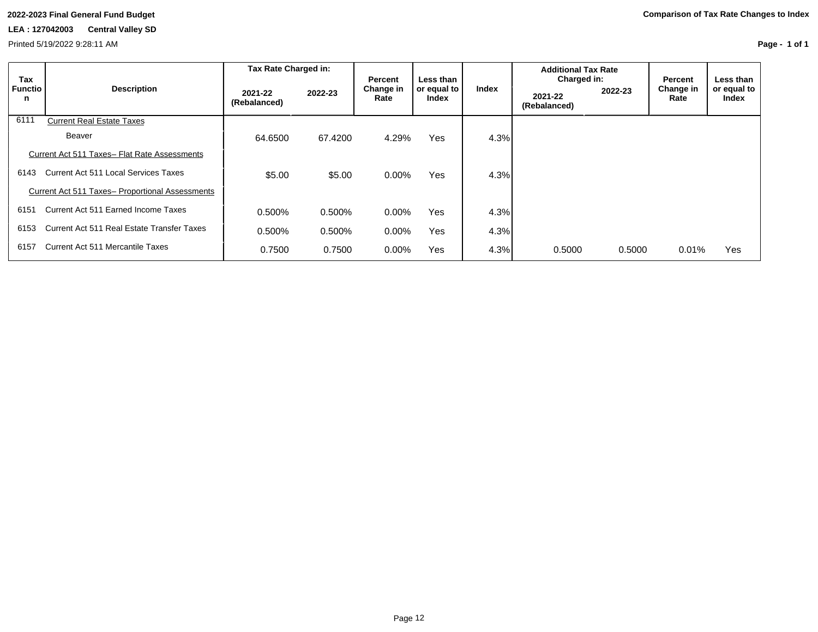Printed 5/19/2022 9:28:11 AM

| Tax                 |                                                        | Tax Rate Charged in:    |         | Percent           | Less than            |       | <b>Additional Tax Rate</b><br>Charged in: |         | Percent           | Less than            |
|---------------------|--------------------------------------------------------|-------------------------|---------|-------------------|----------------------|-------|-------------------------------------------|---------|-------------------|----------------------|
| <b>Functio</b><br>n | <b>Description</b>                                     | 2021-22<br>(Rebalanced) | 2022-23 | Change in<br>Rate | or equal to<br>Index | Index | 2021-22<br>(Rebalanced)                   | 2022-23 | Change in<br>Rate | or equal to<br>Index |
| 6111                | <b>Current Real Estate Taxes</b>                       |                         |         |                   |                      |       |                                           |         |                   |                      |
|                     | <b>Beaver</b>                                          | 64.6500                 | 67.4200 | 4.29%             | <b>Yes</b>           | 4.3%  |                                           |         |                   |                      |
|                     | Current Act 511 Taxes- Flat Rate Assessments           |                         |         |                   |                      |       |                                           |         |                   |                      |
| 6143                | Current Act 511 Local Services Taxes                   | \$5.00                  | \$5.00  | $0.00\%$          | <b>Yes</b>           | 4.3%  |                                           |         |                   |                      |
|                     | <b>Current Act 511 Taxes- Proportional Assessments</b> |                         |         |                   |                      |       |                                           |         |                   |                      |
| 6151                | Current Act 511 Earned Income Taxes                    | 0.500%                  | 0.500%  | $0.00\%$          | Yes                  | 4.3%  |                                           |         |                   |                      |
| 6153                | Current Act 511 Real Estate Transfer Taxes             | 0.500%                  | 0.500%  | $0.00\%$          | Yes                  | 4.3%  |                                           |         |                   |                      |
| 6157                | Current Act 511 Mercantile Taxes                       | 0.7500                  | 0.7500  | $0.00\%$          | Yes                  | 4.3%  | 0.5000                                    | 0.5000  | 0.01%             | Yes                  |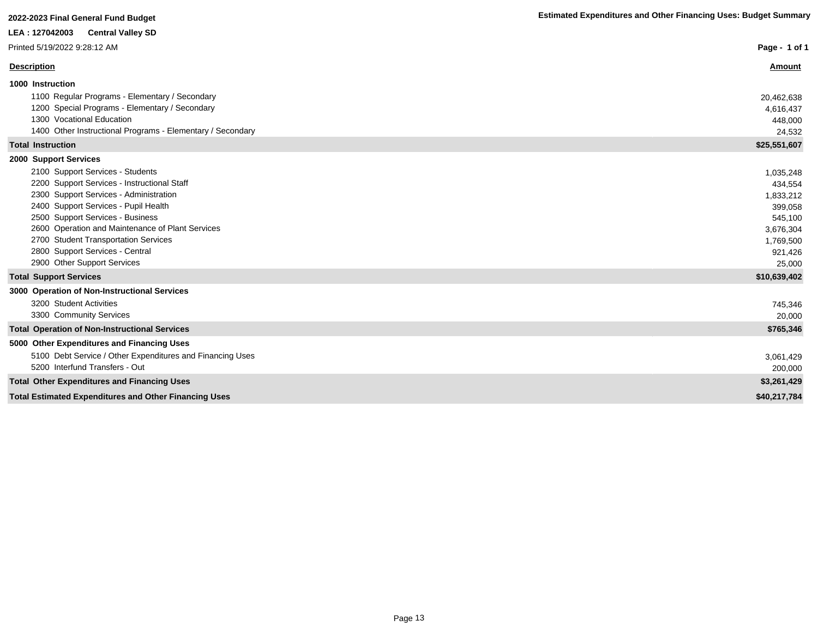# **LEA : 127042003 Central Valley SD**

| LEA : 12/042003<br><b>Central Valley SD</b>                  |               |
|--------------------------------------------------------------|---------------|
| Printed 5/19/2022 9:28:12 AM                                 | Page - 1 of 1 |
| <b>Description</b>                                           | <b>Amount</b> |
| 1000 Instruction                                             |               |
| 1100 Regular Programs - Elementary / Secondary               | 20,462,638    |
| 1200 Special Programs - Elementary / Secondary               | 4,616,437     |
| 1300 Vocational Education                                    | 448,000       |
| 1400 Other Instructional Programs - Elementary / Secondary   | 24,532        |
| <b>Total Instruction</b>                                     | \$25,551,607  |
| 2000 Support Services                                        |               |
| 2100 Support Services - Students                             | 1,035,248     |
| 2200 Support Services - Instructional Staff                  | 434,554       |
| 2300 Support Services - Administration                       | 1,833,212     |
| 2400 Support Services - Pupil Health                         | 399,058       |
| 2500 Support Services - Business                             | 545,100       |
| 2600 Operation and Maintenance of Plant Services             | 3,676,304     |
| 2700 Student Transportation Services                         | 1,769,500     |
| 2800 Support Services - Central                              | 921,426       |
| 2900 Other Support Services                                  | 25,000        |
| <b>Total Support Services</b>                                | \$10,639,402  |
| 3000 Operation of Non-Instructional Services                 |               |
| 3200 Student Activities                                      | 745,346       |
| 3300 Community Services                                      | 20,000        |
| <b>Total Operation of Non-Instructional Services</b>         | \$765,346     |
| 5000 Other Expenditures and Financing Uses                   |               |
| 5100 Debt Service / Other Expenditures and Financing Uses    | 3,061,429     |
| 5200 Interfund Transfers - Out                               | 200,000       |
| <b>Total Other Expenditures and Financing Uses</b>           | \$3,261,429   |
| <b>Total Estimated Expenditures and Other Financing Uses</b> | \$40,217,784  |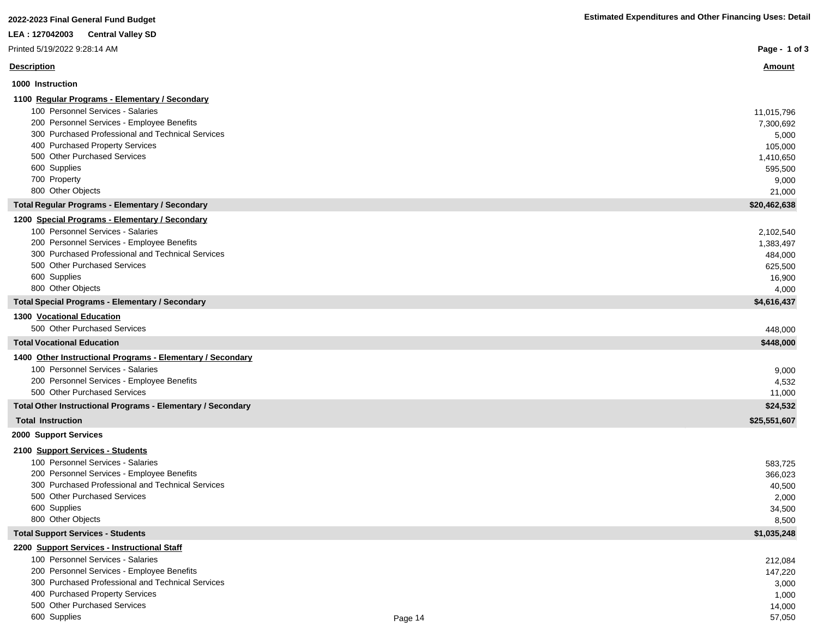| <b>Estimated Expenditures and Other Financing Uses: Detail</b> |
|----------------------------------------------------------------|
|----------------------------------------------------------------|

| 2022-2023 Final General Fund Budget                                              | <b>Estimated Expenditures and Other Financing Uses: Detail</b> |
|----------------------------------------------------------------------------------|----------------------------------------------------------------|
| LEA : 127042003<br><b>Central Valley SD</b>                                      |                                                                |
| Printed 5/19/2022 9:28:14 AM                                                     | Page - 1 of 3                                                  |
| <b>Description</b>                                                               | Amount                                                         |
| 1000 Instruction                                                                 |                                                                |
| 1100 Regular Programs - Elementary / Secondary                                   |                                                                |
| 100 Personnel Services - Salaries                                                | 11,015,796                                                     |
| 200 Personnel Services - Employee Benefits                                       | 7,300,692                                                      |
| 300 Purchased Professional and Technical Services                                | 5,000                                                          |
| 400 Purchased Property Services                                                  | 105,000                                                        |
| 500 Other Purchased Services                                                     | 1,410,650                                                      |
| 600 Supplies<br>700 Property                                                     | 595,500                                                        |
| 800 Other Objects                                                                | 9,000<br>21,000                                                |
| <b>Total Regular Programs - Elementary / Secondary</b>                           | \$20,462,638                                                   |
| 1200 Special Programs - Elementary / Secondary                                   |                                                                |
| 100 Personnel Services - Salaries                                                | 2,102,540                                                      |
| 200 Personnel Services - Employee Benefits                                       | 1,383,497                                                      |
| 300 Purchased Professional and Technical Services                                | 484,000                                                        |
| 500 Other Purchased Services                                                     | 625,500                                                        |
| 600 Supplies                                                                     | 16,900                                                         |
| 800 Other Objects                                                                | 4,000                                                          |
| <b>Total Special Programs - Elementary / Secondary</b>                           | \$4,616,437                                                    |
| <b>1300 Vocational Education</b>                                                 |                                                                |
| 500 Other Purchased Services                                                     | 448,000                                                        |
| <b>Total Vocational Education</b>                                                | \$448,000                                                      |
| 1400 Other Instructional Programs - Elementary / Secondary                       |                                                                |
| 100 Personnel Services - Salaries                                                | 9,000                                                          |
| 200 Personnel Services - Employee Benefits<br>500 Other Purchased Services       | 4,532<br>11,000                                                |
| Total Other Instructional Programs - Elementary / Secondary                      | \$24,532                                                       |
| <b>Total Instruction</b>                                                         | \$25,551,607                                                   |
| 2000 Support Services                                                            |                                                                |
| 2100 Support Services - Students                                                 |                                                                |
| 100 Personnel Services - Salaries                                                | 583,725                                                        |
| 200 Personnel Services - Employee Benefits                                       | 366,023                                                        |
| 300 Purchased Professional and Technical Services                                | 40,500                                                         |
| 500 Other Purchased Services                                                     | 2,000                                                          |
| 600 Supplies                                                                     | 34,500                                                         |
| 800 Other Objects                                                                | 8,500                                                          |
| <b>Total Support Services - Students</b>                                         | \$1,035,248                                                    |
| 2200 Support Services - Instructional Staff<br>100 Personnel Services - Salaries |                                                                |
| 200 Personnel Services - Employee Benefits                                       | 212,084<br>147,220                                             |
| 300 Purchased Professional and Technical Services                                | 3,000                                                          |
| 400 Purchased Property Services                                                  | 1,000                                                          |
| 500 Other Purchased Services                                                     | 14,000                                                         |
| 600 Supplies<br>Page 14                                                          | 57,050                                                         |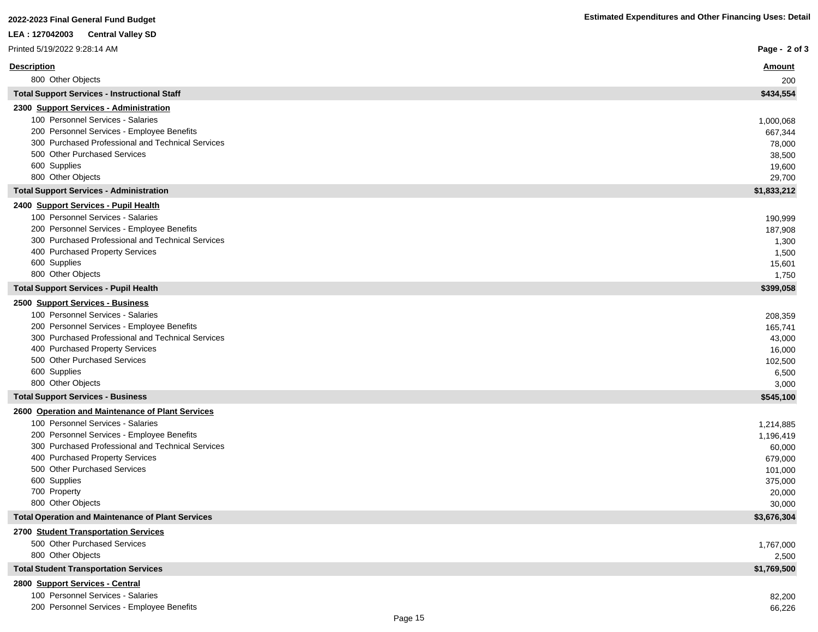| LEA : 127042003<br><b>Central Valley SD</b>                                                     |                    |
|-------------------------------------------------------------------------------------------------|--------------------|
| Printed 5/19/2022 9:28:14 AM                                                                    | Page - 2 of 3      |
| <b>Description</b>                                                                              | <u>Amount</u>      |
| 800 Other Objects                                                                               | 200                |
| <b>Total Support Services - Instructional Staff</b>                                             | \$434,554          |
| 2300 Support Services - Administration                                                          |                    |
| 100 Personnel Services - Salaries                                                               | 1,000,068          |
| 200 Personnel Services - Employee Benefits<br>300 Purchased Professional and Technical Services | 667,344            |
| 500 Other Purchased Services                                                                    | 78,000             |
| 600 Supplies                                                                                    | 38,500<br>19,600   |
| 800 Other Objects                                                                               | 29,700             |
| <b>Total Support Services - Administration</b>                                                  | \$1,833,212        |
| 2400 Support Services - Pupil Health                                                            |                    |
| 100 Personnel Services - Salaries                                                               | 190,999            |
| 200 Personnel Services - Employee Benefits                                                      | 187,908            |
| 300 Purchased Professional and Technical Services                                               | 1,300              |
| 400 Purchased Property Services                                                                 | 1,500              |
| 600 Supplies                                                                                    | 15,601             |
| 800 Other Objects                                                                               | 1,750              |
| <b>Total Support Services - Pupil Health</b>                                                    | \$399,058          |
| 2500 Support Services - Business                                                                |                    |
| 100 Personnel Services - Salaries                                                               | 208,359            |
| 200 Personnel Services - Employee Benefits                                                      | 165,741            |
| 300 Purchased Professional and Technical Services                                               | 43,000             |
| 400 Purchased Property Services                                                                 | 16,000             |
| 500 Other Purchased Services                                                                    | 102,500            |
| 600 Supplies<br>800 Other Objects                                                               | 6,500              |
| <b>Total Support Services - Business</b>                                                        | 3,000<br>\$545,100 |
| 2600 Operation and Maintenance of Plant Services                                                |                    |
| 100 Personnel Services - Salaries                                                               | 1,214,885          |
| 200 Personnel Services - Employee Benefits                                                      | 1,196,419          |
| 300 Purchased Professional and Technical Services                                               | 60,000             |
| 400 Purchased Property Services                                                                 | 679,000            |
| 500 Other Purchased Services                                                                    | 101,000            |
| 600 Supplies                                                                                    | 375,000            |
| 700 Property                                                                                    | 20,000             |
| 800 Other Objects                                                                               | 30,000             |
| <b>Total Operation and Maintenance of Plant Services</b>                                        | \$3,676,304        |
| 2700 Student Transportation Services                                                            |                    |
| 500 Other Purchased Services                                                                    | 1,767,000          |
| 800 Other Objects                                                                               | 2,500              |
| <b>Total Student Transportation Services</b>                                                    | \$1,769,500        |
| 2800 Support Services - Central                                                                 |                    |
| 100 Personnel Services - Salaries                                                               | 82,200             |
| 200 Personnel Services - Employee Benefits                                                      | 66,226             |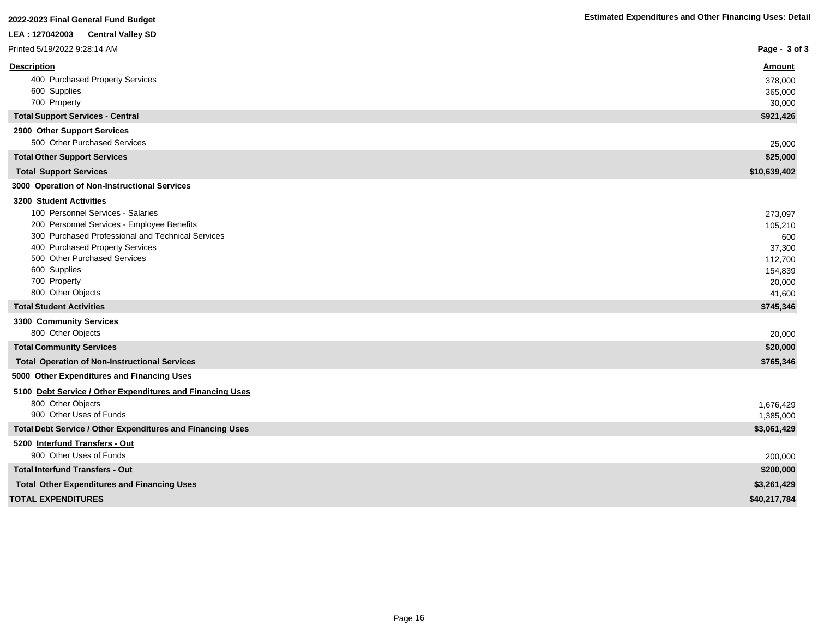| LEA: 127042003 Central Valley SD                                                                                                                                                                                                                                                        |                                                                               |
|-----------------------------------------------------------------------------------------------------------------------------------------------------------------------------------------------------------------------------------------------------------------------------------------|-------------------------------------------------------------------------------|
| Printed 5/19/2022 9:28:14 AM                                                                                                                                                                                                                                                            | Page - $3$ of $3$                                                             |
| <b>Description</b><br>400 Purchased Property Services<br>600 Supplies<br>700 Property                                                                                                                                                                                                   | <b>Amount</b><br>378,000<br>365,000<br>30,000                                 |
| <b>Total Support Services - Central</b>                                                                                                                                                                                                                                                 | \$921,426                                                                     |
| 2900 Other Support Services<br>500 Other Purchased Services                                                                                                                                                                                                                             | 25,000                                                                        |
| <b>Total Other Support Services</b>                                                                                                                                                                                                                                                     | \$25,000                                                                      |
| <b>Total Support Services</b>                                                                                                                                                                                                                                                           | \$10,639,402                                                                  |
| 3000 Operation of Non-Instructional Services                                                                                                                                                                                                                                            |                                                                               |
| 3200 Student Activities<br>100 Personnel Services - Salaries<br>200 Personnel Services - Employee Benefits<br>300 Purchased Professional and Technical Services<br>400 Purchased Property Services<br>500 Other Purchased Services<br>600 Supplies<br>700 Property<br>800 Other Objects | 273,097<br>105,210<br>600<br>37,300<br>112,700<br>154,839<br>20,000<br>41,600 |
| <b>Total Student Activities</b>                                                                                                                                                                                                                                                         | \$745,346                                                                     |
| 3300 Community Services<br>800 Other Objects                                                                                                                                                                                                                                            | 20,000                                                                        |
| <b>Total Community Services</b>                                                                                                                                                                                                                                                         | \$20,000                                                                      |
| <b>Total Operation of Non-Instructional Services</b>                                                                                                                                                                                                                                    | \$765,346                                                                     |
| 5000 Other Expenditures and Financing Uses                                                                                                                                                                                                                                              |                                                                               |
| 5100 Debt Service / Other Expenditures and Financing Uses<br>800 Other Objects<br>900 Other Uses of Funds                                                                                                                                                                               | 1,676,429<br>1,385,000                                                        |
| Total Debt Service / Other Expenditures and Financing Uses                                                                                                                                                                                                                              | \$3,061,429                                                                   |
| 5200 Interfund Transfers - Out<br>900 Other Uses of Funds                                                                                                                                                                                                                               |                                                                               |
| <b>Total Interfund Transfers - Out</b>                                                                                                                                                                                                                                                  | 200,000<br>\$200,000                                                          |
| <b>Total Other Expenditures and Financing Uses</b>                                                                                                                                                                                                                                      | \$3,261,429                                                                   |
| <b>TOTAL EXPENDITURES</b>                                                                                                                                                                                                                                                               | \$40,217,784                                                                  |
|                                                                                                                                                                                                                                                                                         |                                                                               |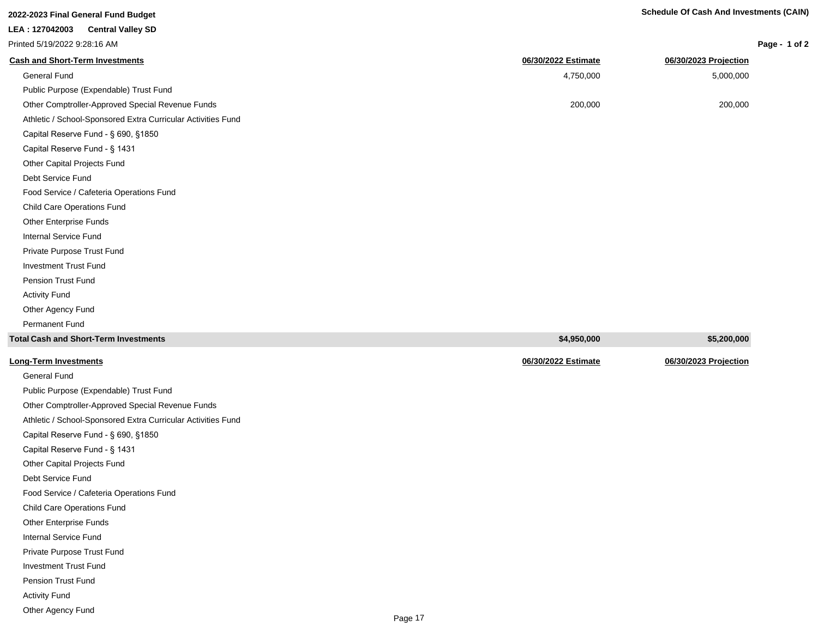| Page - 1 of 2 |  |  |  |
|---------------|--|--|--|
|---------------|--|--|--|

| Printed 5/19/2022 9:28:16 AM                                 |                     | Page - $\alpha$       |
|--------------------------------------------------------------|---------------------|-----------------------|
| <b>Cash and Short-Term Investments</b>                       | 06/30/2022 Estimate | 06/30/2023 Projection |
| General Fund                                                 | 4,750,000           | 5,000,000             |
| Public Purpose (Expendable) Trust Fund                       |                     |                       |
| Other Comptroller-Approved Special Revenue Funds             | 200,000             | 200,000               |
| Athletic / School-Sponsored Extra Curricular Activities Fund |                     |                       |
| Capital Reserve Fund - § 690, §1850                          |                     |                       |
| Capital Reserve Fund - § 1431                                |                     |                       |
| Other Capital Projects Fund                                  |                     |                       |
| Debt Service Fund                                            |                     |                       |
| Food Service / Cafeteria Operations Fund                     |                     |                       |
| Child Care Operations Fund                                   |                     |                       |
| <b>Other Enterprise Funds</b>                                |                     |                       |
| Internal Service Fund                                        |                     |                       |
| Private Purpose Trust Fund                                   |                     |                       |
| <b>Investment Trust Fund</b>                                 |                     |                       |
| Pension Trust Fund                                           |                     |                       |
| <b>Activity Fund</b>                                         |                     |                       |
| Other Agency Fund                                            |                     |                       |
| <b>Permanent Fund</b>                                        |                     |                       |
| <b>Total Cash and Short-Term Investments</b>                 | \$4,950,000         | \$5,200,000           |
| <b>Long-Term Investments</b>                                 | 06/30/2022 Estimate | 06/30/2023 Projection |

| <b>Long-Term Investments</b> |
|------------------------------|
|                              |

General Fund Public Purpose (Expendable) Trust Fund Other Comptroller-Approved Special Revenue Funds Athletic / School-Sponsored Extra Curricular Activities Fund Capital Reserve Fund - § 690, §1850 Capital Reserve Fund - § 1431 Other Capital Projects Fund Debt Service Fund Food Service / Cafeteria Operations Fund Child Care Operations Fund Other Enterprise Funds Internal Service Fund Private Purpose Trust Fund Investment Trust Fund Pension Trust Fund Activity Fund Other Agency Fund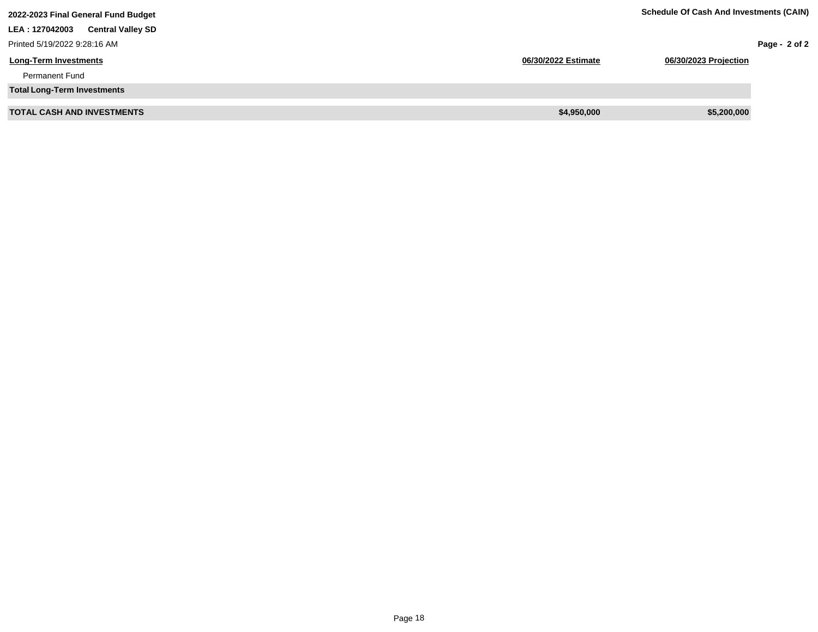| 2022-2023 Final General Fund Budget        | <b>Schedule Of Cash And Investments (CAIN)</b> |                       |                 |
|--------------------------------------------|------------------------------------------------|-----------------------|-----------------|
| LEA: 127042003<br><b>Central Valley SD</b> |                                                |                       |                 |
| Printed 5/19/2022 9:28:16 AM               |                                                |                       | Page - $2$ of 2 |
| <b>Long-Term Investments</b>               | 06/30/2022 Estimate                            | 06/30/2023 Projection |                 |
| <b>Permanent Fund</b>                      |                                                |                       |                 |
| <b>Total Long-Term Investments</b>         |                                                |                       |                 |
| <b>TOTAL CASH AND INVESTMENTS</b>          | \$4,950,000                                    | \$5,200,000           |                 |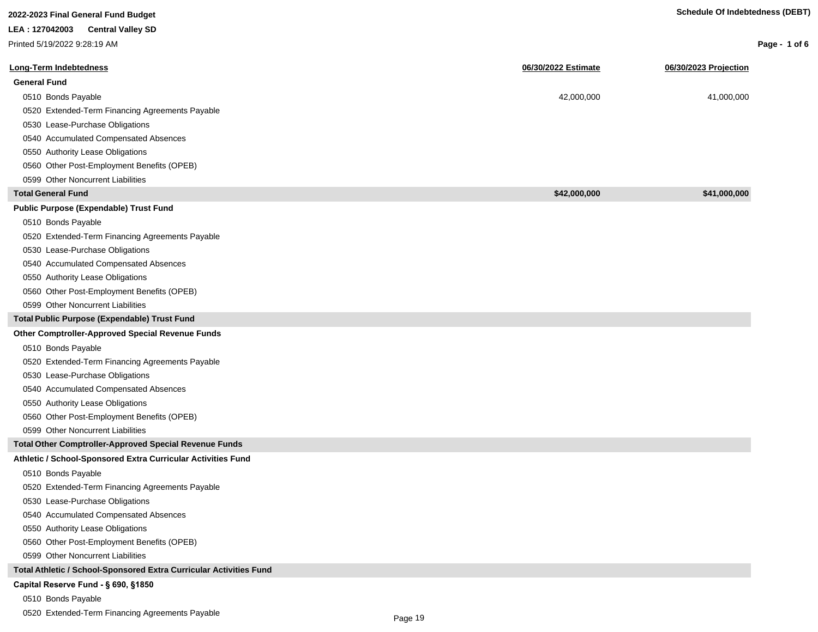| 2022-2023 Final General Fund Budget                                |                     | <b>Schedule Of Indebtedness (DEBT)</b> |               |
|--------------------------------------------------------------------|---------------------|----------------------------------------|---------------|
| LEA: 127042003<br><b>Central Valley SD</b>                         |                     |                                        |               |
| Printed 5/19/2022 9:28:19 AM                                       |                     |                                        | Page - 1 of 6 |
|                                                                    |                     |                                        |               |
| <b>Long-Term Indebtedness</b>                                      | 06/30/2022 Estimate | 06/30/2023 Projection                  |               |
| <b>General Fund</b>                                                |                     |                                        |               |
| 0510 Bonds Payable                                                 | 42,000,000          | 41,000,000                             |               |
| 0520 Extended-Term Financing Agreements Payable                    |                     |                                        |               |
| 0530 Lease-Purchase Obligations                                    |                     |                                        |               |
| 0540 Accumulated Compensated Absences                              |                     |                                        |               |
| 0550 Authority Lease Obligations                                   |                     |                                        |               |
| 0560 Other Post-Employment Benefits (OPEB)                         |                     |                                        |               |
| 0599 Other Noncurrent Liabilities                                  |                     |                                        |               |
| <b>Total General Fund</b>                                          | \$42,000,000        | \$41,000,000                           |               |
| <b>Public Purpose (Expendable) Trust Fund</b>                      |                     |                                        |               |
| 0510 Bonds Payable                                                 |                     |                                        |               |
| 0520 Extended-Term Financing Agreements Payable                    |                     |                                        |               |
| 0530 Lease-Purchase Obligations                                    |                     |                                        |               |
| 0540 Accumulated Compensated Absences                              |                     |                                        |               |
| 0550 Authority Lease Obligations                                   |                     |                                        |               |
| 0560 Other Post-Employment Benefits (OPEB)                         |                     |                                        |               |
| 0599 Other Noncurrent Liabilities                                  |                     |                                        |               |
| Total Public Purpose (Expendable) Trust Fund                       |                     |                                        |               |
| Other Comptroller-Approved Special Revenue Funds                   |                     |                                        |               |
| 0510 Bonds Payable                                                 |                     |                                        |               |
| 0520 Extended-Term Financing Agreements Payable                    |                     |                                        |               |
| 0530 Lease-Purchase Obligations                                    |                     |                                        |               |
| 0540 Accumulated Compensated Absences                              |                     |                                        |               |
| 0550 Authority Lease Obligations                                   |                     |                                        |               |
| 0560 Other Post-Employment Benefits (OPEB)                         |                     |                                        |               |
| 0599 Other Noncurrent Liabilities                                  |                     |                                        |               |
| <b>Total Other Comptroller-Approved Special Revenue Funds</b>      |                     |                                        |               |
| Athletic / School-Sponsored Extra Curricular Activities Fund       |                     |                                        |               |
| 0510 Bonds Payable                                                 |                     |                                        |               |
| 0520 Extended-Term Financing Agreements Payable                    |                     |                                        |               |
| 0530 Lease-Purchase Obligations                                    |                     |                                        |               |
| 0540 Accumulated Compensated Absences                              |                     |                                        |               |
| 0550 Authority Lease Obligations                                   |                     |                                        |               |
| 0560 Other Post-Employment Benefits (OPEB)                         |                     |                                        |               |
| 0599 Other Noncurrent Liabilities                                  |                     |                                        |               |
| Total Athletic / School-Sponsored Extra Curricular Activities Fund |                     |                                        |               |
| Capital Reserve Fund - § 690, §1850                                |                     |                                        |               |
| 0510 Bonds Payable                                                 |                     |                                        |               |

0520 Extended-Term Financing Agreements Payable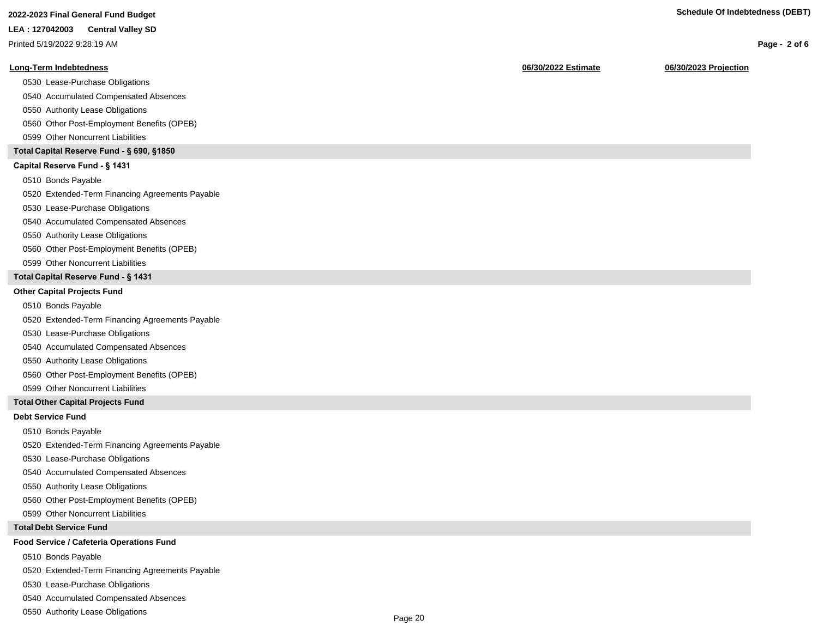**LEA : 127042003 Central Valley SD**

Printed 5/19/2022 9:28:19 AM

#### **Long-Term Indebtedness 06/30/2022 Estimate 06/30/2023 Projection**

0530 Lease-Purchase Obligations

0540 Accumulated Compensated Absences

0550 Authority Lease Obligations

0560 Other Post-Employment Benefits (OPEB)

0599 Other Noncurrent Liabilities

#### **Total Capital Reserve Fund - § 690, §1850**

#### Capital Reserve Fund - § 1431

0510 Bonds Payable

0520 Extended-Term Financing Agreements Payable

0530 Lease-Purchase Obligations

0540 Accumulated Compensated Absences

0550 Authority Lease Obligations

0560 Other Post-Employment Benefits (OPEB)

0599 Other Noncurrent Liabilities

#### **Total Capital Reserve Fund - § 1431**

#### **Other Capital Projects Fund**

0510 Bonds Payable

0520 Extended-Term Financing Agreements Payable

0530 Lease-Purchase Obligations

0540 Accumulated Compensated Absences

0550 Authority Lease Obligations

0560 Other Post-Employment Benefits (OPEB)

0599 Other Noncurrent Liabilities

#### **Total Other Capital Projects Fund**

#### **Debt Service Fund**

0510 Bonds Payable

0520 Extended-Term Financing Agreements Payable

0530 Lease-Purchase Obligations

0540 Accumulated Compensated Absences

0550 Authority Lease Obligations

0560 Other Post-Employment Benefits (OPEB)

0599 Other Noncurrent Liabilities

#### **Total Debt Service Fund**

#### **Food Service / Cafeteria Operations Fund**

0510 Bonds Payable

0520 Extended-Term Financing Agreements Payable

0530 Lease-Purchase Obligations

0540 Accumulated Compensated Absences

0550 Authority Lease Obligations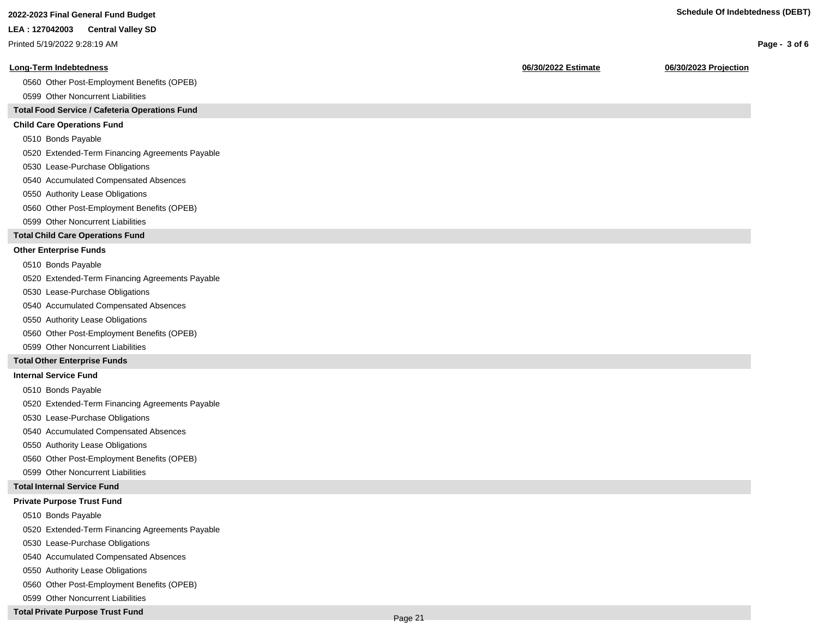**Page - 3 of 6**

#### **LEA : 127042003 Central Valley SD**

Printed 5/19/2022 9:28:19 AM

#### **Long-Term Indebtedness 06/30/2022 Estimate 06/30/2023 Projection**

0560 Other Post-Employment Benefits (OPEB)

0599 Other Noncurrent Liabilities

#### **Total Food Service / Cafeteria Operations Fund**

#### **Child Care Operations Fund**

0510 Bonds Payable

0520 Extended-Term Financing Agreements Payable

- 0530 Lease-Purchase Obligations
- 0540 Accumulated Compensated Absences
- 0550 Authority Lease Obligations
- 0560 Other Post-Employment Benefits (OPEB)
- 0599 Other Noncurrent Liabilities

#### **Total Child Care Operations Fund**

#### **Other Enterprise Funds**

- 0510 Bonds Payable
- 0520 Extended-Term Financing Agreements Payable
- 0530 Lease-Purchase Obligations
- 0540 Accumulated Compensated Absences
- 0550 Authority Lease Obligations
- 0560 Other Post-Employment Benefits (OPEB)
- 0599 Other Noncurrent Liabilities

#### **Total Other Enterprise Funds**

#### **Internal Service Fund**

- 0510 Bonds Payable
- 0520 Extended-Term Financing Agreements Payable
- 0530 Lease-Purchase Obligations
- 0540 Accumulated Compensated Absences
- 0550 Authority Lease Obligations
- 0560 Other Post-Employment Benefits (OPEB)
- 0599 Other Noncurrent Liabilities

#### **Total Internal Service Fund**

#### **Private Purpose Trust Fund**

- 0510 Bonds Payable
- 0520 Extended-Term Financing Agreements Payable
- 0530 Lease-Purchase Obligations
- 0540 Accumulated Compensated Absences
- 0550 Authority Lease Obligations
- 0560 Other Post-Employment Benefits (OPEB)
- 0599 Other Noncurrent Liabilities

#### **Total Private Purpose Trust Fund**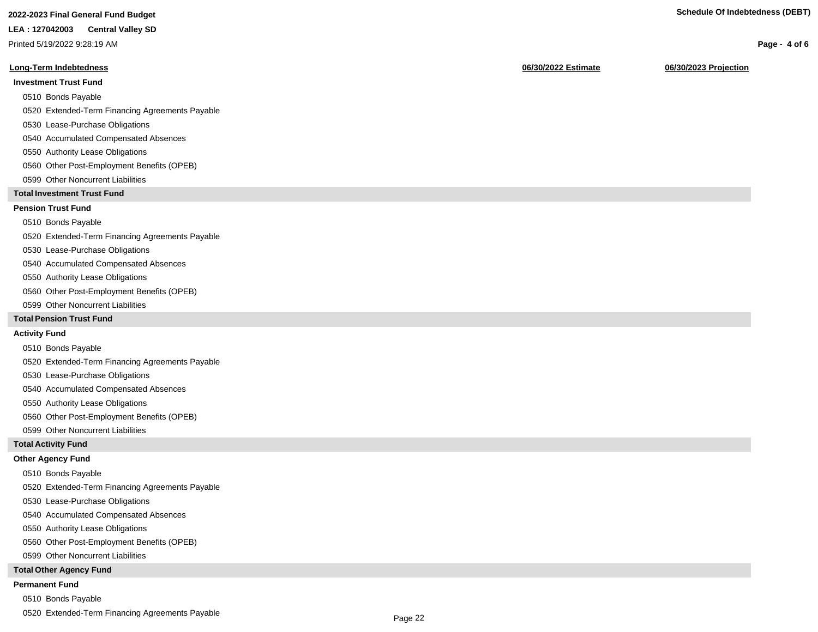## **2022-2023 Final General Fund Budget Schedule Of Indebtedness (DEBT)**

#### **LEA : 127042003 Central Valley SD**

Printed 5/19/2022 9:28:19 AM

#### **Long-Term Indebtedness 06/30/2022 Estimate 06/30/2023 Projection**

#### **Investment Trust Fund**

- 0510 Bonds Payable
- 0520 Extended-Term Financing Agreements Payable
- 0530 Lease-Purchase Obligations
- 0540 Accumulated Compensated Absences
- 0550 Authority Lease Obligations
- 0560 Other Post-Employment Benefits (OPEB)
- 0599 Other Noncurrent Liabilities

#### **Total Investment Trust Fund**

#### **Pension Trust Fund**

#### 0510 Bonds Payable

0520 Extended-Term Financing Agreements Payable

- 0530 Lease-Purchase Obligations
- 0540 Accumulated Compensated Absences
- 0550 Authority Lease Obligations
- 0560 Other Post-Employment Benefits (OPEB)
- 0599 Other Noncurrent Liabilities

#### **Total Pension Trust Fund**

#### **Activity Fund**

- 0510 Bonds Payable
- 0520 Extended-Term Financing Agreements Payable
- 0530 Lease-Purchase Obligations
- 0540 Accumulated Compensated Absences
- 0550 Authority Lease Obligations
- 0560 Other Post-Employment Benefits (OPEB)
- 0599 Other Noncurrent Liabilities

#### **Total Activity Fund**

#### **Other Agency Fund**

- 0510 Bonds Payable
- 0520 Extended-Term Financing Agreements Payable
- 0530 Lease-Purchase Obligations
- 0540 Accumulated Compensated Absences
- 0550 Authority Lease Obligations
- 0560 Other Post-Employment Benefits (OPEB)
- 0599 Other Noncurrent Liabilities

#### **Total Other Agency Fund**

#### **Permanent Fund**

- 0510 Bonds Payable
- 0520 Extended-Term Financing Agreements Payable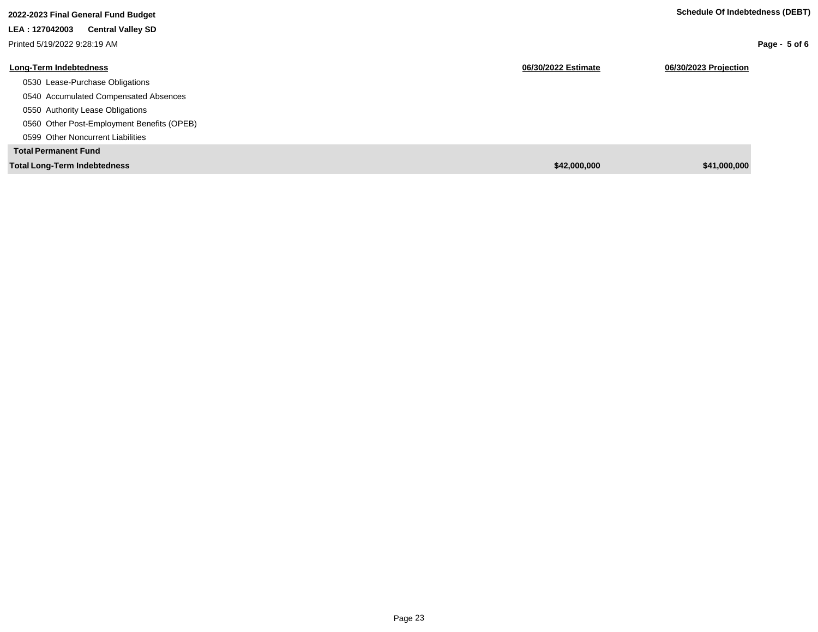| Schedule Of Indebtedness (DEBT) |  |  |
|---------------------------------|--|--|

| 2022-2023 Final General Fund Budget        |                     | <b>Schedule Of Indebtedness (DEBT)</b> |
|--------------------------------------------|---------------------|----------------------------------------|
| LEA: 127042003<br><b>Central Valley SD</b> |                     |                                        |
| Printed 5/19/2022 9:28:19 AM               |                     | Page - $5$ of 6                        |
| Long-Term Indebtedness                     | 06/30/2022 Estimate | 06/30/2023 Projection                  |
| 0530 Lease-Purchase Obligations            |                     |                                        |
| 0540 Accumulated Compensated Absences      |                     |                                        |
| 0550 Authority Lease Obligations           |                     |                                        |
| 0560 Other Post-Employment Benefits (OPEB) |                     |                                        |
| 0599 Other Noncurrent Liabilities          |                     |                                        |
| <b>Total Permanent Fund</b>                |                     |                                        |
| <b>Total Long-Term Indebtedness</b>        | \$42,000,000        | \$41,000,000                           |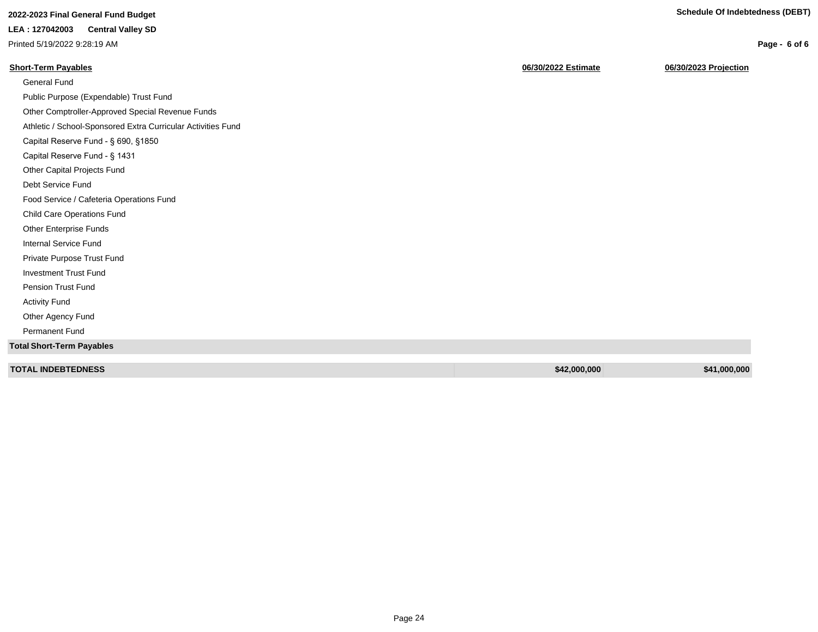**Page - 6 of 6**

# **2022-2023 Final General Fund Budget Schedule Of Indebtedness (DEBT)**

## **LEA : 127042003 Central Valley SD**

Printed 5/19/2022 9:28:19 AM

| <b>Short-Term Payables</b>                                   | 06/30/2022 Estimate | 06/30/2023 Projection |
|--------------------------------------------------------------|---------------------|-----------------------|
| <b>General Fund</b>                                          |                     |                       |
| Public Purpose (Expendable) Trust Fund                       |                     |                       |
| Other Comptroller-Approved Special Revenue Funds             |                     |                       |
| Athletic / School-Sponsored Extra Curricular Activities Fund |                     |                       |
| Capital Reserve Fund - § 690, §1850                          |                     |                       |
| Capital Reserve Fund - § 1431                                |                     |                       |
| Other Capital Projects Fund                                  |                     |                       |
| Debt Service Fund                                            |                     |                       |
| Food Service / Cafeteria Operations Fund                     |                     |                       |
| <b>Child Care Operations Fund</b>                            |                     |                       |
| Other Enterprise Funds                                       |                     |                       |
| <b>Internal Service Fund</b>                                 |                     |                       |
| Private Purpose Trust Fund                                   |                     |                       |
| <b>Investment Trust Fund</b>                                 |                     |                       |
| <b>Pension Trust Fund</b>                                    |                     |                       |
| <b>Activity Fund</b>                                         |                     |                       |
| Other Agency Fund                                            |                     |                       |
| <b>Permanent Fund</b>                                        |                     |                       |
| <b>Total Short-Term Payables</b>                             |                     |                       |
| <b>TOTAL INDEBTEDNESS</b>                                    | \$42,000,000        | \$41,000,000          |